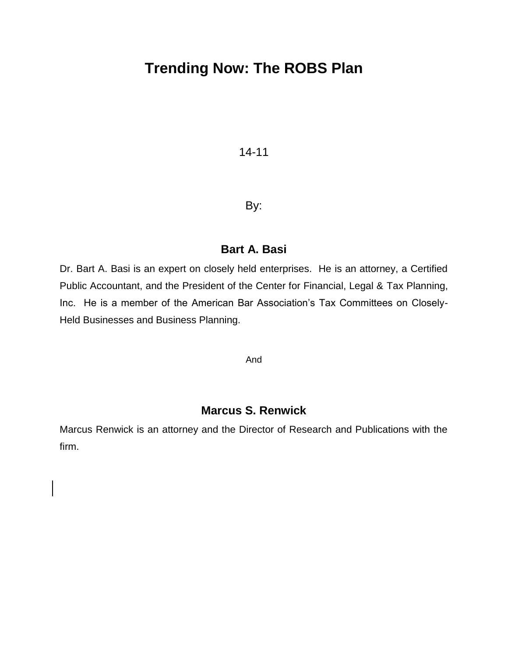# **Trending Now: The ROBS Plan**

# 14-11

# By:

# **Bart A. Basi**

Dr. Bart A. Basi is an expert on closely held enterprises. He is an attorney, a Certified Public Accountant, and the President of the Center for Financial, Legal & Tax Planning, Inc. He is a member of the American Bar Association's Tax Committees on Closely-Held Businesses and Business Planning.

And

# **Marcus S. Renwick**

Marcus Renwick is an attorney and the Director of Research and Publications with the firm.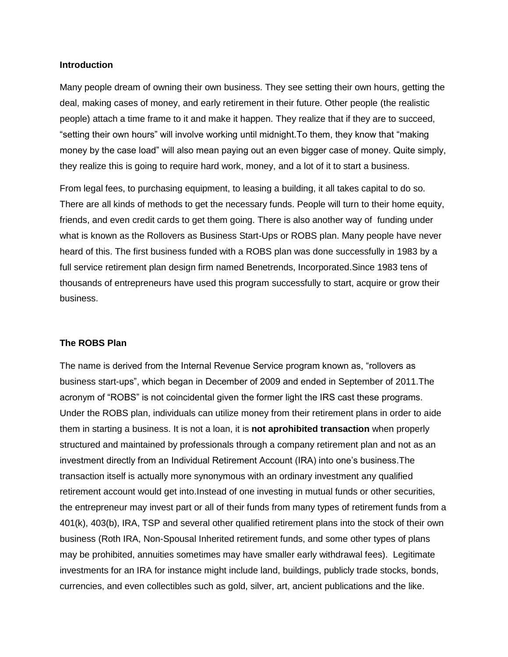#### **Introduction**

Many people dream of owning their own business. They see setting their own hours, getting the deal, making cases of money, and early retirement in their future. Other people (the realistic people) attach a time frame to it and make it happen. They realize that if they are to succeed, "setting their own hours" will involve working until midnight.To them, they know that "making money by the case load" will also mean paying out an even bigger case of money. Quite simply, they realize this is going to require hard work, money, and a lot of it to start a business.

From legal fees, to purchasing equipment, to leasing a building, it all takes capital to do so. There are all kinds of methods to get the necessary funds. People will turn to their home equity, friends, and even credit cards to get them going. There is also another way of funding under what is known as the Rollovers as Business Start-Ups or ROBS plan. Many people have never heard of this. The first business funded with a ROBS plan was done successfully in 1983 by a full service retirement plan design firm named Benetrends, Incorporated.Since 1983 tens of thousands of entrepreneurs have used this program successfully to start, acquire or grow their business.

#### **The ROBS Plan**

The name is derived from the Internal Revenue Service program known as, "rollovers as business start-ups", which began in December of 2009 and ended in September of 2011.The acronym of "ROBS" is not coincidental given the former light the IRS cast these programs. Under the ROBS plan, individuals can utilize money from their retirement plans in order to aide them in starting a business. It is not a loan, it is **not aprohibited transaction** when properly structured and maintained by professionals through a company retirement plan and not as an investment directly from an Individual Retirement Account (IRA) into one"s business.The transaction itself is actually more synonymous with an ordinary investment any qualified retirement account would get into.Instead of one investing in mutual funds or other securities, the entrepreneur may invest part or all of their funds from many types of retirement funds from a 401(k), 403(b), IRA, TSP and several other qualified retirement plans into the stock of their own business (Roth IRA, Non-Spousal Inherited retirement funds, and some other types of plans may be prohibited, annuities sometimes may have smaller early withdrawal fees). Legitimate investments for an IRA for instance might include land, buildings, publicly trade stocks, bonds, currencies, and even collectibles such as gold, silver, art, ancient publications and the like.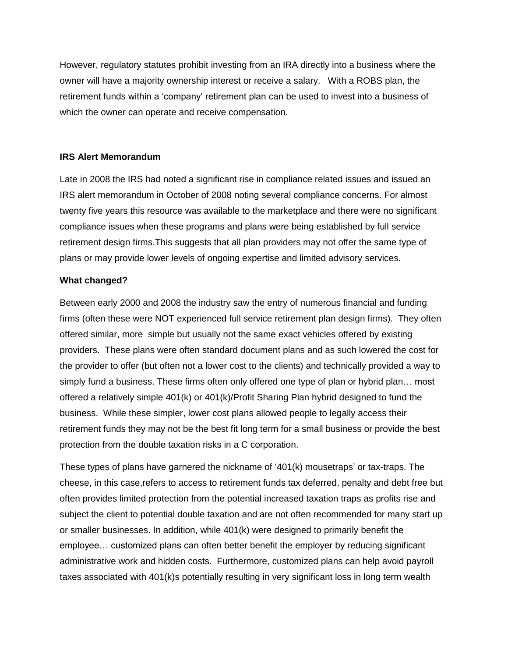However, regulatory statutes prohibit investing from an IRA directly into a business where the owner will have a majority ownership interest or receive a salary. With a ROBS plan, the retirement funds within a "company" retirement plan can be used to invest into a business of which the owner can operate and receive compensation.

#### **IRS Alert Memorandum**

Late in 2008 the IRS had noted a significant rise in compliance related issues and issued an IRS alert memorandum in October of 2008 noting several compliance concerns. For almost twenty five years this resource was available to the marketplace and there were no significant compliance issues when these programs and plans were being established by full service retirement design firms.This suggests that all plan providers may not offer the same type of plans or may provide lower levels of ongoing expertise and limited advisory services.

#### **What changed?**

Between early 2000 and 2008 the industry saw the entry of numerous financial and funding firms (often these were NOT experienced full service retirement plan design firms). They often offered similar, more simple but usually not the same exact vehicles offered by existing providers. These plans were often standard document plans and as such lowered the cost for the provider to offer (but often not a lower cost to the clients) and technically provided a way to simply fund a business. These firms often only offered one type of plan or hybrid plan… most offered a relatively simple 401(k) or 401(k)/Profit Sharing Plan hybrid designed to fund the business. While these simpler, lower cost plans allowed people to legally access their retirement funds they may not be the best fit long term for a small business or provide the best protection from the double taxation risks in a C corporation.

These types of plans have garnered the nickname of "401(k) mousetraps" or tax-traps. The cheese, in this case,refers to access to retirement funds tax deferred, penalty and debt free but often provides limited protection from the potential increased taxation traps as profits rise and subject the client to potential double taxation and are not often recommended for many start up or smaller businesses. In addition, while 401(k) were designed to primarily benefit the employee… customized plans can often better benefit the employer by reducing significant administrative work and hidden costs. Furthermore, customized plans can help avoid payroll taxes associated with 401(k)s potentially resulting in very significant loss in long term wealth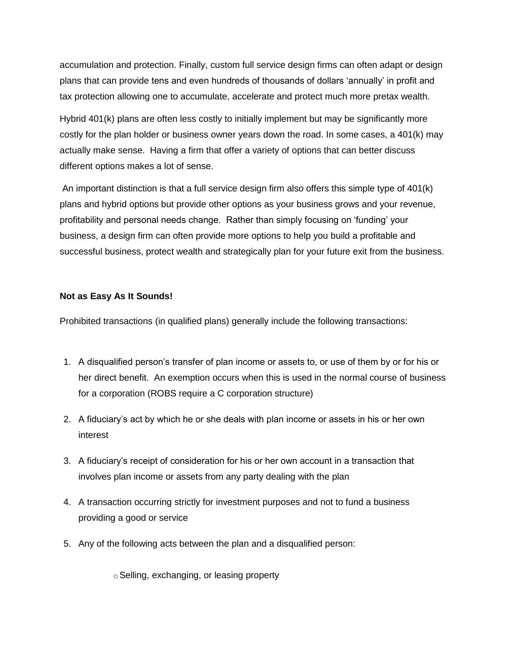accumulation and protection. Finally, custom full service design firms can often adapt or design plans that can provide tens and even hundreds of thousands of dollars "annually" in profit and tax protection allowing one to accumulate, accelerate and protect much more pretax wealth.

Hybrid 401(k) plans are often less costly to initially implement but may be significantly more costly for the plan holder or business owner years down the road. In some cases, a 401(k) may actually make sense. Having a firm that offer a variety of options that can better discuss different options makes a lot of sense.

An important distinction is that a full service design firm also offers this simple type of 401(k) plans and hybrid options but provide other options as your business grows and your revenue, profitability and personal needs change. Rather than simply focusing on "funding" your business, a design firm can often provide more options to help you build a profitable and successful business, protect wealth and strategically plan for your future exit from the business.

#### **Not as Easy As It Sounds!**

Prohibited transactions (in qualified plans) generally include the following transactions:

- 1. A disqualified person"s transfer of plan income or assets to, or use of them by or for his or her direct benefit. An exemption occurs when this is used in the normal course of business for a corporation (ROBS require a C corporation structure)
- 2. A fiduciary"s act by which he or she deals with plan income or assets in his or her own interest
- 3. A fiduciary"s receipt of consideration for his or her own account in a transaction that involves plan income or assets from any party dealing with the plan
- 4. A transaction occurring strictly for investment purposes and not to fund a business providing a good or service
- 5. Any of the following acts between the plan and a disqualified person:

o Selling, exchanging, or leasing property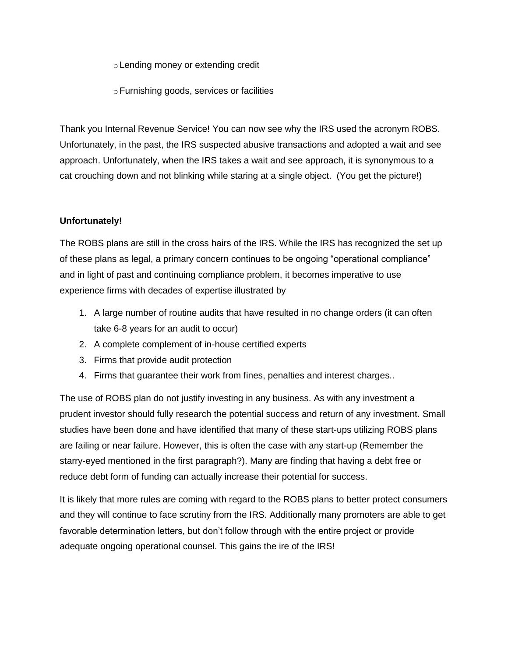oLending money or extending credit

oFurnishing goods, services or facilities

Thank you Internal Revenue Service! You can now see why the IRS used the acronym ROBS. Unfortunately, in the past, the IRS suspected abusive transactions and adopted a wait and see approach. Unfortunately, when the IRS takes a wait and see approach, it is synonymous to a cat crouching down and not blinking while staring at a single object. (You get the picture!)

### **Unfortunately!**

The ROBS plans are still in the cross hairs of the IRS. While the IRS has recognized the set up of these plans as legal, a primary concern continues to be ongoing "operational compliance" and in light of past and continuing compliance problem, it becomes imperative to use experience firms with decades of expertise illustrated by

- 1. A large number of routine audits that have resulted in no change orders (it can often take 6-8 years for an audit to occur)
- 2. A complete complement of in-house certified experts
- 3. Firms that provide audit protection
- 4. Firms that guarantee their work from fines, penalties and interest charges..

The use of ROBS plan do not justify investing in any business. As with any investment a prudent investor should fully research the potential success and return of any investment. Small studies have been done and have identified that many of these start-ups utilizing ROBS plans are failing or near failure. However, this is often the case with any start-up (Remember the starry-eyed mentioned in the first paragraph?). Many are finding that having a debt free or reduce debt form of funding can actually increase their potential for success.

It is likely that more rules are coming with regard to the ROBS plans to better protect consumers and they will continue to face scrutiny from the IRS. Additionally many promoters are able to get favorable determination letters, but don"t follow through with the entire project or provide adequate ongoing operational counsel. This gains the ire of the IRS!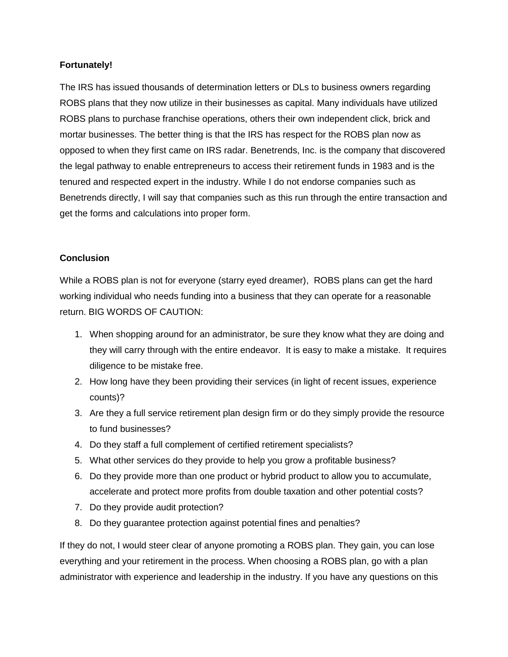#### **Fortunately!**

The IRS has issued thousands of determination letters or DLs to business owners regarding ROBS plans that they now utilize in their businesses as capital. Many individuals have utilized ROBS plans to purchase franchise operations, others their own independent click, brick and mortar businesses. The better thing is that the IRS has respect for the ROBS plan now as opposed to when they first came on IRS radar. Benetrends, Inc. is the company that discovered the legal pathway to enable entrepreneurs to access their retirement funds in 1983 and is the tenured and respected expert in the industry. While I do not endorse companies such as Benetrends directly, I will say that companies such as this run through the entire transaction and get the forms and calculations into proper form.

#### **Conclusion**

While a ROBS plan is not for everyone (starry eyed dreamer), ROBS plans can get the hard working individual who needs funding into a business that they can operate for a reasonable return. BIG WORDS OF CAUTION:

- 1. When shopping around for an administrator, be sure they know what they are doing and they will carry through with the entire endeavor. It is easy to make a mistake. It requires diligence to be mistake free.
- 2. How long have they been providing their services (in light of recent issues, experience counts)?
- 3. Are they a full service retirement plan design firm or do they simply provide the resource to fund businesses?
- 4. Do they staff a full complement of certified retirement specialists?
- 5. What other services do they provide to help you grow a profitable business?
- 6. Do they provide more than one product or hybrid product to allow you to accumulate, accelerate and protect more profits from double taxation and other potential costs?
- 7. Do they provide audit protection?
- 8. Do they guarantee protection against potential fines and penalties?

If they do not, I would steer clear of anyone promoting a ROBS plan. They gain, you can lose everything and your retirement in the process. When choosing a ROBS plan, go with a plan administrator with experience and leadership in the industry. If you have any questions on this